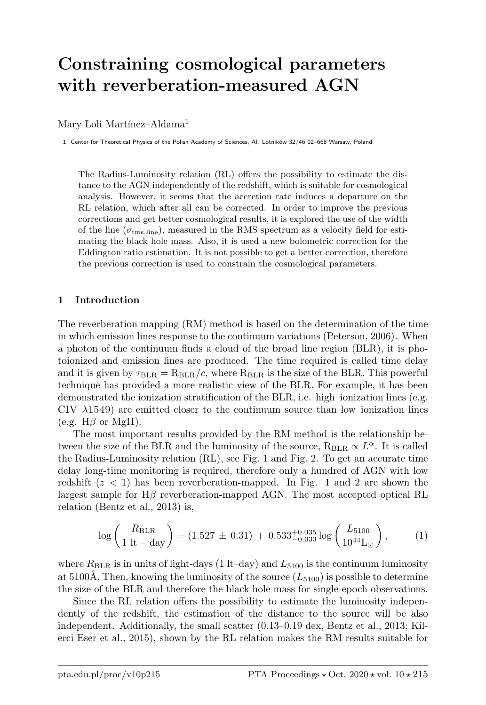# Constraining cosmological parameters with reverberation-measured AGN

## Mary Loli Martínez-Aldama<sup>1</sup>

1. Center for Theoretical Physics of the Polish Academy of Sciences, Al. Lotników 32/46 02–668 Warsaw, Poland

The Radius-Luminosity relation (RL) offers the possibility to estimate the distance to the AGN independently of the redshift, which is suitable for cosmological analysis. However, it seems that the accretion rate induces a departure on the RL relation, which after all can be corrected. In order to improve the previous corrections and get better cosmological results, it is explored the use of the width of the line  $(\sigma_{\rm rms, line})$ , measured in the RMS spectrum as a velocity field for estimating the black hole mass. Also, it is used a new bolometric correction for the Eddington ratio estimation. It is not possible to get a better correction, therefore the previous correction is used to constrain the cosmological parameters.

### 1 Introduction

The reverberation mapping (RM) method is based on the determination of the time in which emission lines response to the continuum variations (Peterson, 2006). When a photon of the continuum finds a cloud of the broad line region (BLR), it is photoionized and emission lines are produced. The time required is called time delay and it is given by  $\tau_{BLR} = R_{BLR}/c$ , where  $R_{BLR}$  is the size of the BLR. This powerful technique has provided a more realistic view of the BLR. For example, it has been demonstrated the ionization stratification of the BLR, i.e. high–ionization lines (e.g.  $CIV$   $\lambda$ 1549) are emitted closer to the continuum source than low-ionization lines (e.g.  $H\beta$  or MgII).

The most important results provided by the RM method is the relationship between the size of the BLR and the luminosity of the source,  $R_{BLR} \propto L^{\alpha}$ . It is called the Radius-Luminosity relation (RL), see Fig. 1 and Fig. 2. To get an accurate time delay long-time monitoring is required, therefore only a hundred of AGN with low redshift  $(z < 1)$  has been reverberation-mapped. In Fig. 1 and 2 are shown the largest sample for  $H\beta$  reverberation-mapped AGN. The most accepted optical RL relation (Bentz et al., 2013) is,

$$
\log\left(\frac{R_{\text{BLR}}}{1 \text{ lt} - \text{day}}\right) = (1.527 \pm 0.31) + 0.533^{+0.035}_{-0.033} \log\left(\frac{L_{5100}}{10^{44} \text{L}_{\odot}}\right),\tag{1}
$$

where  $R_{BLR}$  is in units of light-days (1 lt–day) and  $L_{5100}$  is the continuum luminosity at 5100Å. Then, knowing the luminosity of the source  $(L_{5100})$  is possible to determine the size of the BLR and therefore the black hole mass for single-epoch observations.

Since the RL relation offers the possibility to estimate the luminosity independently of the redshift, the estimation of the distance to the source will be also independent. Additionally, the small scatter (0.13–0.19 dex, Bentz et al., 2013; Kilerci Eser et al., 2015), shown by the RL relation makes the RM results suitable for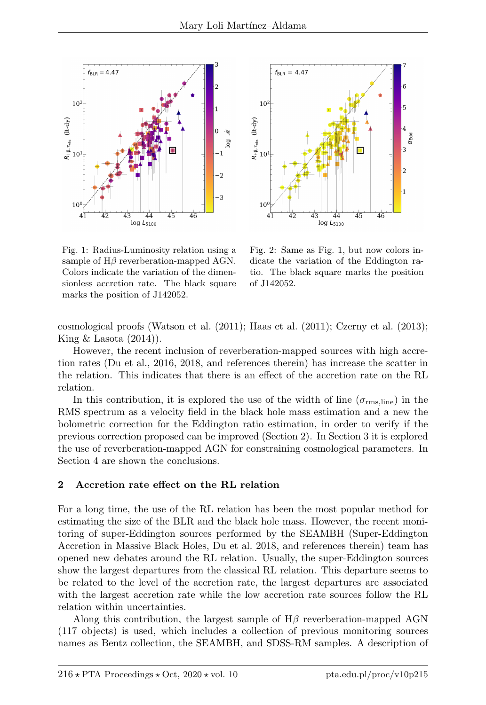



Fig. 1: Radius-Luminosity relation using a sample of  $H\beta$  reverberation-mapped AGN. Colors indicate the variation of the dimensionless accretion rate. The black square marks the position of J142052.

Fig. 2: Same as Fig. 1, but now colors indicate the variation of the Eddington ratio. The black square marks the position of J142052.

cosmological proofs (Watson et al. (2011); Haas et al. (2011); Czerny et al. (2013); King  $&$  Lasota  $(2014)$ .

However, the recent inclusion of reverberation-mapped sources with high accretion rates (Du et al., 2016, 2018, and references therein) has increase the scatter in the relation. This indicates that there is an effect of the accretion rate on the RL relation.

In this contribution, it is explored the use of the width of line  $(\sigma_{\rm rms, line})$  in the RMS spectrum as a velocity field in the black hole mass estimation and a new the bolometric correction for the Eddington ratio estimation, in order to verify if the previous correction proposed can be improved (Section 2). In Section 3 it is explored the use of reverberation-mapped AGN for constraining cosmological parameters. In Section 4 are shown the conclusions.

#### 2 Accretion rate effect on the RL relation

For a long time, the use of the RL relation has been the most popular method for estimating the size of the BLR and the black hole mass. However, the recent monitoring of super-Eddington sources performed by the SEAMBH (Super-Eddington Accretion in Massive Black Holes, Du et al. 2018, and references therein) team has opened new debates around the RL relation. Usually, the super-Eddington sources show the largest departures from the classical RL relation. This departure seems to be related to the level of the accretion rate, the largest departures are associated with the largest accretion rate while the low accretion rate sources follow the RL relation within uncertainties.

Along this contribution, the largest sample of  $H\beta$  reverberation-mapped AGN (117 objects) is used, which includes a collection of previous monitoring sources names as Bentz collection, the SEAMBH, and SDSS-RM samples. A description of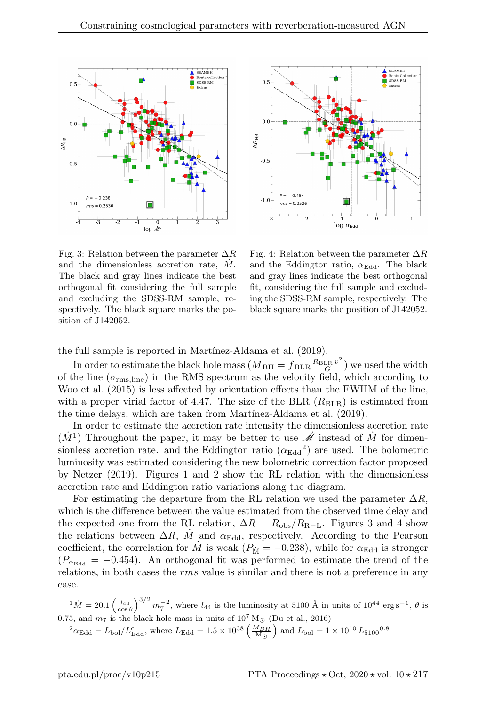



Fig. 3: Relation between the parameter  $\Delta R$ and the dimensionless accretion rate,  $\dot{M}$ . The black and gray lines indicate the best orthogonal fit considering the full sample and excluding the SDSS-RM sample, respectively. The black square marks the position of J142052.

Fig. 4: Relation between the parameter  $\Delta R$ and the Eddington ratio,  $\alpha_{\rm Edd}$ . The black and gray lines indicate the best orthogonal fit, considering the full sample and excluding the SDSS-RM sample, respectively. The black square marks the position of J142052.

the full sample is reported in Martínez-Aldama et al. (2019).

In order to estimate the black hole mass  $(M_{\rm BH} = f_{\rm BLR} \frac{R_{\rm BLR} v^2}{G}$  $\frac{\text{LR} v^2}{G}$  we used the width of the line ( $\sigma_{\rm rms, line}$ ) in the RMS spectrum as the velocity field, which according to Woo et al. (2015) is less affected by orientation effects than the FWHM of the line, with a proper virial factor of 4.47. The size of the BLR  $(R<sub>BLR</sub>)$  is estimated from the time delays, which are taken from Martínez-Aldama et al. (2019).

In order to estimate the accretion rate intensity the dimensionless accretion rate  $(M<sup>1</sup>)$  Throughout the paper, it may be better to use  $\dot{\mathcal{M}}$  instead of  $\dot{M}$  for dimensionless accretion rate. and the Eddington ratio  $(\alpha_{\rm Edd}^2)$  are used. The bolometric luminosity was estimated considering the new bolometric correction factor proposed by Netzer (2019). Figures 1 and 2 show the RL relation with the dimensionless accretion rate and Eddington ratio variations along the diagram.

For estimating the departure from the RL relation we used the parameter  $\Delta R$ , which is the difference between the value estimated from the observed time delay and the expected one from the RL relation,  $\Delta R = R_{\rm obs}/R_{\rm R-L}$ . Figures 3 and 4 show the relations between  $\Delta R$ , M and  $\alpha_{\text{Edd}}$ , respectively. According to the Pearson coefficient, the correlation for  $\dot{M}$  is weak ( $P_{\dot{M}} = -0.238$ ), while for  $\alpha_{\rm Edd}$  is stronger  $(P_{\alpha_{\text{Edd}}} = -0.454)$ . An orthogonal fit was performed to estimate the trend of the relations, in both cases the rms value is similar and there is not a preference in any case.

 $\frac{1}{M} = 20.1 \left( \frac{l_{44}}{\cos \theta} \right)^{3/2} m_7^{-2}$ , where  $l_{44}$  is the luminosity at 5100 Å in units of 10<sup>44</sup> erg s<sup>-1</sup>,  $\theta$  is 0.75, and  $m_7$  is the black hole mass in units of  $10^7 \,\mathrm{M}_{\odot}$  (Du et al., 2016)

$$
{}^{2}\alpha_{\rm Edd} = L_{\rm bol}/L_{\rm Edd}^{\rm c}, \text{ where } L_{\rm Edd} = 1.5 \times 10^{38} \left(\frac{M_{BH}}{\rm M_{\odot}}\right) \text{ and } L_{\rm bol} = 1 \times 10^{10} L_{5100}^{\rm 0.8}
$$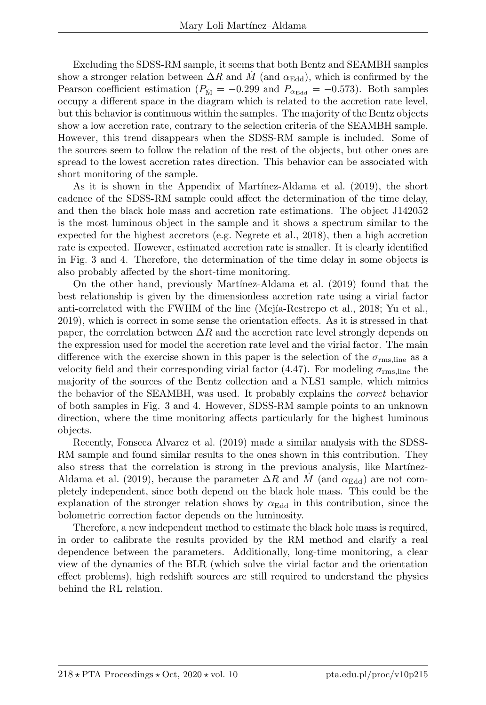Excluding the SDSS-RM sample, it seems that both Bentz and SEAMBH samples show a stronger relation between  $\Delta R$  and M (and  $\alpha_{\text{Edd}}$ ), which is confirmed by the Pearson coefficient estimation ( $P_{\dot{M}} = -0.299$  and  $P_{\alpha_{\text{Edd}}} = -0.573$ ). Both samples occupy a different space in the diagram which is related to the accretion rate level, but this behavior is continuous within the samples. The majority of the Bentz objects show a low accretion rate, contrary to the selection criteria of the SEAMBH sample. However, this trend disappears when the SDSS-RM sample is included. Some of the sources seem to follow the relation of the rest of the objects, but other ones are spread to the lowest accretion rates direction. This behavior can be associated with short monitoring of the sample.

As it is shown in the Appendix of Martínez-Aldama et al. (2019), the short cadence of the SDSS-RM sample could affect the determination of the time delay, and then the black hole mass and accretion rate estimations. The object J142052 is the most luminous object in the sample and it shows a spectrum similar to the expected for the highest accretors (e.g. Negrete et al., 2018), then a high accretion rate is expected. However, estimated accretion rate is smaller. It is clearly identified in Fig. 3 and 4. Therefore, the determination of the time delay in some objects is also probably affected by the short-time monitoring.

On the other hand, previously Mart´ınez-Aldama et al. (2019) found that the best relationship is given by the dimensionless accretion rate using a virial factor anti-correlated with the FWHM of the line (Mejía-Restrepo et al., 2018; Yu et al., 2019), which is correct in some sense the orientation effects. As it is stressed in that paper, the correlation between  $\Delta R$  and the accretion rate level strongly depends on the expression used for model the accretion rate level and the virial factor. The main difference with the exercise shown in this paper is the selection of the  $\sigma_{\rm rms, line}$  as a velocity field and their corresponding virial factor (4.47). For modeling  $\sigma_{\rm rms, line}$  the majority of the sources of the Bentz collection and a NLS1 sample, which mimics the behavior of the SEAMBH, was used. It probably explains the correct behavior of both samples in Fig. 3 and 4. However, SDSS-RM sample points to an unknown direction, where the time monitoring affects particularly for the highest luminous objects.

Recently, Fonseca Alvarez et al. (2019) made a similar analysis with the SDSS-RM sample and found similar results to the ones shown in this contribution. They also stress that the correlation is strong in the previous analysis, like Martínez-Aldama et al. (2019), because the parameter  $\Delta R$  and M (and  $\alpha_{\text{Edd}}$ ) are not completely independent, since both depend on the black hole mass. This could be the explanation of the stronger relation shows by  $\alpha_{\text{Edd}}$  in this contribution, since the bolometric correction factor depends on the luminosity.

Therefore, a new independent method to estimate the black hole mass is required, in order to calibrate the results provided by the RM method and clarify a real dependence between the parameters. Additionally, long-time monitoring, a clear view of the dynamics of the BLR (which solve the virial factor and the orientation effect problems), high redshift sources are still required to understand the physics behind the RL relation.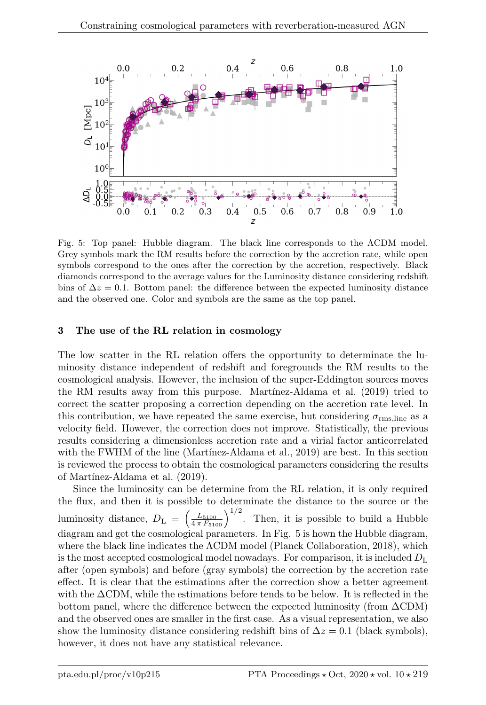

Fig. 5: Top panel: Hubble diagram. The black line corresponds to the ΛCDM model. Grey symbols mark the RM results before the correction by the accretion rate, while open symbols correspond to the ones after the correction by the accretion, respectively. Black diamonds correspond to the average values for the Luminosity distance considering redshift bins of  $\Delta z = 0.1$ . Bottom panel: the difference between the expected luminosity distance and the observed one. Color and symbols are the same as the top panel.

# 3 The use of the RL relation in cosmology

The low scatter in the RL relation offers the opportunity to determinate the luminosity distance independent of redshift and foregrounds the RM results to the cosmological analysis. However, the inclusion of the super-Eddington sources moves the RM results away from this purpose. Martinez-Aldama et al. (2019) tried to correct the scatter proposing a correction depending on the accretion rate level. In this contribution, we have repeated the same exercise, but considering  $\sigma_{\rm rms, line}$  as a velocity field. However, the correction does not improve. Statistically, the previous results considering a dimensionless accretion rate and a virial factor anticorrelated with the FWHM of the line (Martínez-Aldama et al., 2019) are best. In this section is reviewed the process to obtain the cosmological parameters considering the results of Martínez-Aldama et al. (2019).

Since the luminosity can be determine from the RL relation, it is only required the flux, and then it is possible to determinate the distance to the source or the luminosity distance,  $D_{\rm L}$  =  $\left(\frac{L_{5100}}{4\pi F_{5100}}\right)^{1/2}$ . Then, it is possible to build a Hubble diagram and get the cosmological parameters. In Fig. 5 is hown the Hubble diagram, where the black line indicates the ΛCDM model (Planck Collaboration, 2018), which is the most accepted cosmological model nowadays. For comparison, it is included  $D_{\rm L}$ after (open symbols) and before (gray symbols) the correction by the accretion rate effect. It is clear that the estimations after the correction show a better agreement with the ∆CDM, while the estimations before tends to be below. It is reflected in the bottom panel, where the difference between the expected luminosity (from  $\Delta$ CDM) and the observed ones are smaller in the first case. As a visual representation, we also show the luminosity distance considering redshift bins of  $\Delta z = 0.1$  (black symbols), however, it does not have any statistical relevance.